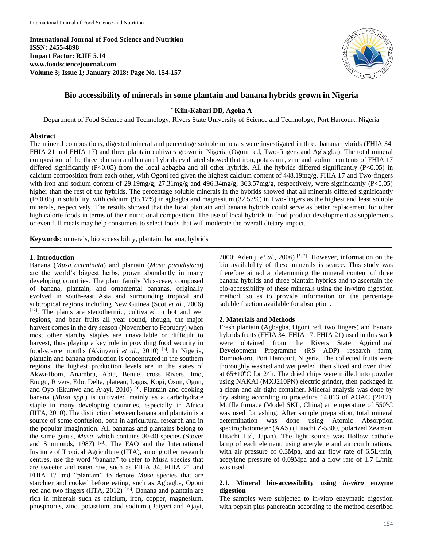**International Journal of Food Science and Nutrition ISSN: 2455-4898 Impact Factor: RJIF 5.14 www.foodsciencejournal.com Volume 3; Issue 1; January 2018; Page No. 154-157**



# **Bio accessibility of minerals in some plantain and banana hybrids grown in Nigeria**

**\* Kiin-Kabari DB, Agoha A**

Department of Food Science and Technology, Rivers State University of Science and Technology, Port Harcourt, Nigeria

#### **Abstract**

The mineral compositions, digested mineral and percentage soluble minerals were investigated in three banana hybrids (FHIA 34, FHIA 21 and FHIA 17) and three plantain cultivars grown in Nigeria (Ogoni red, Two-fingers and Agbagba). The total mineral composition of the three plantain and banana hybrids evaluated showed that iron, potassium, zinc and sodium contents of FHIA 17 differed significantly (P<0.05) from the local agbagba and all other hybrids. All the hybrids differed significantly (P<0.05) in calcium composition from each other, with Ogoni red given the highest calcium content of 448.19mg/g. FHIA 17 and Two-fingers with iron and sodium content of 29.19mg/g;  $27.31 \text{mg/g}$  and  $496.34 \text{mg/g}$ ;  $363.57 \text{mg/g}$ , respectively, were significantly (P<0.05) higher than the rest of the hybrids. The percentage soluble minerals in the hybrids showed that all minerals differed significantly (P<0.05) in solubility, with calcium (95.17%) in agbagba and magnesium (32.57%) in Two-fingers as the highest and least soluble minerals, respectively. The results showed that the local plantain and banana hybrids could serve as better replacement for other high calorie foods in terms of their nutritional composition. The use of local hybrids in food product development as supplements or even full meals may help consumers to select foods that will moderate the overall dietary impact.

**Keywords:** minerals, bio accessibility, plantain, banana, hybrids

#### **1. Introduction**

Banana (*Musa acuminata*) and plantain (*Musa paradisiaca*) are the world's biggest herbs, grown abundantly in many developing countries. The plant family Musaceae, composed of banana, plantain, and ornamental bananas, originally evolved in south-east Asia and surrounding tropical and subtropical regions including New Guinea (Scot *et al.,* 2006) [22]. The plants are stenothermic, cultivated in hot and wet regions, and bear fruits all year round, though, the major harvest comes in the dry season (November to February) when most other starchy staples are unavailable or difficult to harvest, thus playing a key role in providing food security in food-scarce months (Akinyemi et al., 2010)<sup>[3]</sup>. In Nigeria, plantain and banana production is concentrated in the southern regions, the highest production levels are in the states of Akwa-Ibom, Anambra, Abia, Benue, cross Rivers, Imo, Enugu, Rivers, Edo, Delta, plateau, Lagos, Kogi, Osun, Ogun, and Oyo (Ekunwe and Ajayi, 2010)<sup>[9]</sup>. Plantain and cooking banana (*Musa spp*.) is cultivated mainly as a carbohydrate staple in many developing countries, especially in Africa (IITA, 2010). The distinction between banana and plantain is a source of some confusion, both in agricultural research and in the popular imagination. All bananas and plantains belong to the same genus, *Musa*, which contains 30-40 species (Stover and Simmonds, 1987) [23] . The FAO and the International Institute of Tropical Agriculture (IITA), among other research centres, use the word "banana" to refer to Musa species that are sweeter and eaten raw, such as FHIA 34, FHIA 21 and FHIA 17 and "plantain" to denote *Musa* species that are starchier and cooked before eating, such as Agbagba, Ogoni red and two fingers (IITA, 2012)<sup>[15]</sup>. Banana and plantain are rich in minerals such as calcium, iron, copper, magnesium, phosphorus, zinc, potassium, and sodium (Baiyeri and Ajayi,

2000; Adeniji *et al.,* 2006) [5, 2] . However, information on the bio availability of these minerals is scarce. This study was therefore aimed at determining the mineral content of three banana hybrids and three plantain hybrids and to ascertain the bio-accessibility of these minerals using the in-vitro digestion method, so as to provide information on the percentage soluble fraction available for absorption.

# **2. Materials and Methods**

Fresh plantain (Agbagba, Ogoni red, two fingers) and banana hybrids fruits (FHIA 34, FHIA 17, FHIA 21) used in this work were obtained from the Rivers State Agricultural Development Programme (RS ADP) research farm, Rumuokoro, Port Harcourt, Nigeria. The collected fruits were thoroughly washed and wet peeled, then sliced and oven dried at  $65\pm10^0$ C for 24h. The dried chips were milled into powder using NAKAI (MXJ210PN) electric grinder, then packaged in a clean and air tight container. Mineral analysis was done by dry ashing according to procedure 14.013 of AOAC (2012). Muffle furnace (Model SKL, China) at temperature of  $550^0C$ was used for ashing. After sample preparation, total mineral determination was done using Atomic Absorption spectrophotometer (AAS) (Hitachi Z-5300, polarized Zeaman, Hitachi Ltd, Japan). The light source was Hollow cathode lamp of each element, using acetylene and air combinations, with air pressure of 0.3Mpa, and air flow rate of 6.5L/min, acetylene pressure of 0.09Mpa and a flow rate of 1.7 L/min was used.

#### **2.1. Mineral bio-accessibility using** *in-vitro* **enzyme digestion**

The samples were subjected to in-vitro enzymatic digestion with pepsin plus pancreatin according to the method described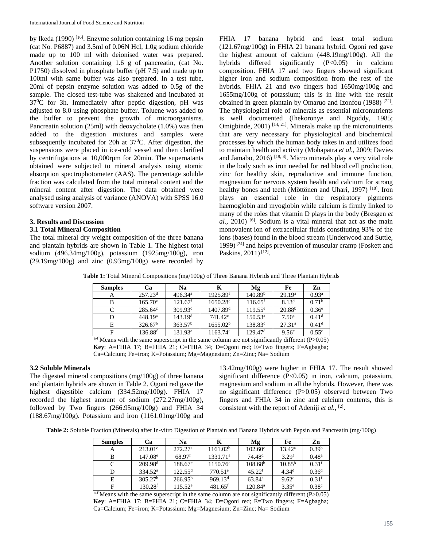by Ikeda (1990)<sup>[16]</sup>. Enzyme solution containing 16 mg pepsin (cat No. P6887) and 3.5ml of 0.06N Hcl, 1.0g sodium chloride made up to 100 ml with deionised water was prepared. Another solution containing 1.6 g of pancreatin, (cat No. P1750) dissolved in phosphate buffer (pH 7.5) and made up to 100ml with same buffer was also prepared. In a test tube, 20ml of pepsin enzyme solution was added to 0.5g of the sample. The closed test-tube was shakened and incubated at 37<sup>0</sup>C for 3h. Immediately after peptic digestion, pH was adjusted to 8.0 using phosphate buffer. Toluene was added to the buffer to prevent the growth of microorganisms. Pancreatin solution (25ml) with deoxycholate (1.0%) was then added to the digestion mixtures and samples were subsequently incubated for 20h at  $37^{\circ}$ C. After digestion, the suspensions were placed in ice-cold vessel and then clarified by centrifugations at 10,000rpm for 20min. The supernatants obtained were subjected to mineral analysis using atomic absorption spectrophotometer (AAS). The percentage soluble fraction was calculated from the total mineral content and the mineral content after digestion. The data obtained were analysed using analysis of variance (ANOVA) with SPSS 16.0 software version 2007.

### **3. Results and Discussion**

### **3.1 Total Mineral Composition**

The total mineral dry weight composition of the three banana and plantain hybrids are shown in Table 1. The highest total sodium (496.34mg/100g), potassium (1925mg/100g), iron (29.19mg/100g) and zinc (0.93mg/100g) were recorded by FHIA 17 banana hybrid and least total sodium (121.67mg/100g) in FHIA 21 banana hybrid. Ogoni red gave the highest amount of calcium (448.19mg/100g). All the hybrids differed significantly (P<0.05) in calcium composition. FHIA 17 and two fingers showed significant higher iron and sodium composition from the rest of the hybrids. FHIA 21 and two fingers had 1650mg/100g and 1655mg/100g of potassium; this is in line with the result obtained in green plantain by Omaruo and Izonfou (1988)<sup>[22]</sup>. The physiological role of minerals as essential micronutrients is well documented (Ihekoronye and Ngoddy, 1985; Omigbinde,  $2001$ )  $[14, 21]$ . Minerals make up the micronutrients that are very necessary for physiological and biochemical processes by which the human body takes in and utilizes food to maintain health and activity (Mohapatra *et al.,* 2009; Davies and Jamabo, 2016)<sup>[19, 8]</sup>. Micro minerals play a very vital role in the body such as iron needed for red blood cell production, zinc for healthy skin, reproductive and immune function, magnesium for nervous system health and calcium for strong healthy bones and teeth (Möttönen and Uhari, 1997)<sup>[18]</sup>. Iron plays an essential role in the respiratory pigments haemoglobin and myoglobin while calcium is firmly linked to many of the roles that vitamin D plays in the body (Bresgen *et*  al., 2010) <sup>[6]</sup>. Sodium is a vital mineral that act as the main monovalent ion of extracellular fluids constituting 93% of the ions (bases) found in the blood stream (Underwood and Suttle, 1999)<sup>[24]</sup> and helps prevention of muscular cramp (Foskett and Paskins, 2011)<sup>[12]</sup>.

|  |  |  |  |  |  | Table 1: Total Mineral Compositions (mg/100g) of Three Banana Hybrids and Three Plantain Hybrids |
|--|--|--|--|--|--|--------------------------------------------------------------------------------------------------|
|--|--|--|--|--|--|--------------------------------------------------------------------------------------------------|

| <b>Samples</b> | Ca                    | Na                  | Κ                    | Mg                    | Fe                 | Zn                |
|----------------|-----------------------|---------------------|----------------------|-----------------------|--------------------|-------------------|
| A              | 257.23 <sup>d</sup>   | 496.34 <sup>a</sup> | 1925.89 <sup>a</sup> | 140.89 <sup>b</sup>   | 29.19 <sup>a</sup> | 0.93 <sup>a</sup> |
| B              | $165.70^e$            | 121.67 <sup>f</sup> | $1650.28^{\circ}$    | $116.65$ <sup>f</sup> | 8.13 <sup>d</sup>  | 0.71 <sup>b</sup> |
| C              | $285.64^{\circ}$      | $309.93^{\circ}$    | 1407.89 <sup>d</sup> | $119.55^e$            | 20.88 <sup>b</sup> | 0.36 <sup>e</sup> |
| D              | 448.19 <sup>a</sup>   | 143.19 <sup>d</sup> | 741.42 <sup>e</sup>  | $150.53^{\rm a}$      | 7.50 <sup>e</sup>  | 0.41 <sup>d</sup> |
| E              | 326.67 <sup>b</sup>   | 363.57 <sup>b</sup> | 1655.02 <sup>b</sup> | $138.83^{\circ}$      | 27.31 <sup>a</sup> | 0.41 <sup>d</sup> |
| F              | $136.88^{\mathrm{f}}$ | $131.93^e$          | $1163.74^{\circ}$    | 129.47 <sup>d</sup>   | $9.56^{\circ}$     | 0.55 <sup>c</sup> |

 $a-f$  Means with the same superscript in the same column are not significantly different (P $>0.05$ ) **Key**: A=FHIA 17; B=FHIA 21; C=FHIA 34; D=Ogoni red; E=Two fingers; F=Agbagba; Ca=Calcium; Fe=iron; K=Potassium; Mg=Magnesium; Zn=Zinc; Na= Sodium

# **3.2 Soluble Minerals**

The digested mineral compositions (mg/100g) of three banana and plantain hybrids are shown in Table 2. Ogoni red gave the highest digestible calcium (334.52mg/100g). FHIA 17 recorded the highest amount of sodium (272.27mg/100g), followed by Two fingers (266.95mg/100g) and FHIA 34 (188.67mg/100g). Potassium and iron (1161.01mg/100g and

13.42mg/100g) were higher in FHIA 17. The result showed significant difference (P<0.05) in iron, calcium, potassium, magnesium and sodium in all the hybrids. However, there was no significant difference (P>0.05) observed between Two fingers and FHIA 34 in zinc and calcium contents, this is consistent with the report of Adeniji et al., [2].

**Table 2:** Soluble Fraction (Minerals) after In-vitro Digestion of Plantain and Banana Hybrids with Pepsin and Pancreatin (mg/100g)

| <b>Samples</b> | Ca                  | Na                   | К                     | Mg                  | Fe                | Zn                |
|----------------|---------------------|----------------------|-----------------------|---------------------|-------------------|-------------------|
| A              | $213.01^{\circ}$    | 272.27 <sup>a</sup>  | 1161.02 <sup>b</sup>  | $102.60^{\circ}$    | $13.42^{\rm a}$   | 0.39 <sup>b</sup> |
| В              | $147.08^e$          | $68.97$ <sup>f</sup> | 1331.71 <sup>a</sup>  | 74.48 <sup>d</sup>  | 3.29 <sup>f</sup> | 0.48 <sup>a</sup> |
| $\subset$      | 209.98 <sup>d</sup> | $188.67^{\circ}$     | $1150.76^{\circ}$     | 108.68 <sup>b</sup> | $10.85^{b}$       | 0.31 <sup>f</sup> |
| D              | $334.52^{\rm a}$    | $122.55^{\rm d}$     | $770.51^{\circ}$      | $45.22^{f}$         | 4.34 <sup>d</sup> | 0.36 <sup>d</sup> |
| Е              | 305.27 <sup>b</sup> | 266.95 <sup>b</sup>  | 969.13 <sup>d</sup>   | $63.84^{\circ}$     | 9.62 <sup>c</sup> | 0.31 <sup>f</sup> |
| F              | 130.28 <sup>f</sup> | $115.52^e$           | $481.65$ <sup>f</sup> | $120.84^{\rm a}$    | $3.35^{\circ}$    | 0.38 <sup>c</sup> |

 $a-f$  Means with the same superscript in the same column are not significantly different (P $>0.05$ ) **Key**: A=FHIA 17; B=FHIA 21; C=FHIA 34; D=Ogoni red; E=Two fingers; F=Agbagba; Ca=Calcium; Fe=iron; K=Potassium; Mg=Magnesium; Zn=Zinc; Na= Sodium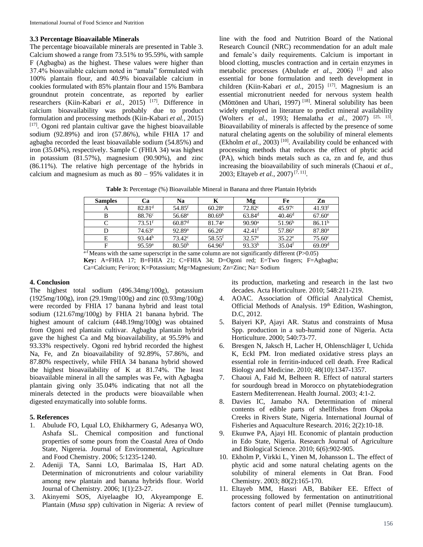# **3.3 Percentage Bioavailable Minerals**

The percentage bioavailable minerals are presented in Table 3. Calcium showed a range from 73.51% to 95.59%, with sample F (Agbagba) as the highest. These values were higher than 37.4% bioavailable calcium noted in "amala" formulated with 100% plantain flour, and 40.9% bioavailable calcium in cookies formulated with 85% plantain flour and 15% Bambara groundnut protein concentrate, as reported by earlier researchers (Kiin-Kabari *et al.,* 2015) [17] . Difference in calcium bioavailability was probably due to product formulation and processing methods (Kiin-Kabari *et al.,* 2015) [17]. Ogoni red plantain cultivar gave the highest bioavailable sodium (92.89%) and iron (57.86%), while FHIA 17 and agbagba recorded the least bioavailable sodium (54.85%) and iron (35.04%), respectively. Sample C (FHIA 34) was highest in potassium (81.57%), magnesium (90.90%), and zinc (86.11%). The relative high percentage of the hybrids in calcium and magnesium as much as  $80 - 95%$  validates it in

line with the food and Nutrition Board of the National Research Council (NRC) recommendation for an adult male and female's daily requirements. Calcium is important in blood clotting, muscles contraction and in certain enzymes in metabolic processes (Abulude *et al*., 2006) [1] and also essential for bone formulation and teeth development in children (Kiin-Kabari *et al.*, 2015)<sup>[17]</sup>. Magnesium is an essential micronutrient needed for nervous system health (Möttönen and Uhari, 1997)<sup>[18]</sup>. Mineral solubility has been widely employed in literature to predict mineral availability (Wolters *et al.,* 1993; Hemalatha *et al.,* 2007) [25, 13] . Bioavailability of minerals is affected by the presence of some natural chelating agents on the solubility of mineral elements (Ekholm *et al.*, 2003)<sup>[10]</sup>. Availability could be enhanced with processing methods that reduces the effect of phytic acid (PA), which binds metals such as ca, zn and fe, and thus increasing the bioavailability of such minerals (Chaoui *et al.,* 2003; Eltayeb *et al.*, 2007)<sup>[7, 11]</sup>.

**Table 3:** Percentage (%) Bioavailable Mineral in Banana and three Plantain Hybrids

| <b>Samples</b> | Cа                   | Na                 | Κ                  | Mg                   | Fe                 | Zn                   |
|----------------|----------------------|--------------------|--------------------|----------------------|--------------------|----------------------|
| А              | 82.81 <sup>d</sup>   | 54.85 <sup>f</sup> | $60.28^{\circ}$    | $72.82^{\circ}$      | 45.97c             | 41.93 <sup>f</sup>   |
| B              | 88.76 <sup>c</sup>   | 56.68 <sup>e</sup> | 80.69 <sup>b</sup> | $63.84$ <sup>d</sup> | 40.46 <sup>d</sup> | $67.60^{\circ}$      |
| C              | $73.51$ <sup>f</sup> | 60.87 <sup>d</sup> | 81.74 <sup>a</sup> | $90.90$ <sup>a</sup> | 51.96 <sup>b</sup> | 86.11 <sup>b</sup>   |
| D              | $74.63^e$            | 92.89a             | 66.20 <sup>c</sup> | $42.41$ <sup>f</sup> | 57.86 <sup>a</sup> | $87.80$ <sup>a</sup> |
| E              | 93.44 <sup>b</sup>   | $73.42^{\circ}$    | 58.55 <sup>f</sup> | $32.57^{\circ}$      | $35.22^e$          | $75.60^{\circ}$      |
| F              | 95.59 <sup>a</sup>   | 80.50 <sup>b</sup> | 64.96 <sup>d</sup> | $93.33^{b}$          | 35.04 <sup>f</sup> | 69.09 <sup>d</sup>   |

 $a-f$  Means with the same superscript in the same column are not significantly different (P $>0.05$ ) **Key:** A=FHIA 17; B=FHIA 21; C=FHIA 34; D=Ogoni red; E=Two fingers; F=Agbagba; Ca=Calcium; Fe=iron; K=Potassium; Mg=Magnesium; Zn=Zinc; Na= Sodium

# **4. Conclusion**

The highest total sodium (496.34mg/100g), potassium (1925mg/100g), iron (29.19mg/100g) and zinc (0.93mg/100g) were recorded by FHIA 17 banana hybrid and least total sodium (121.67mg/100g) by FHIA 21 banana hybrid. The highest amount of calcium (448.19mg/100g) was obtained from Ogoni red plantain cultivar. Agbagba plantain hybrid gave the highest Ca and Mg bioavailability, at 95.59% and 93.33% respectively. Ogoni red hybrid recorded the highest Na, Fe, and Zn bioavailability of 92.89%, 57.86%, and 87.80% respectively, while FHIA 34 banana hybrid showed the highest bioavailability of K at 81.74%. The least bioavailable mineral in all the samples was Fe, with Agbagba plantain giving only 35.04% indicating that not all the minerals detected in the products were bioavailable when digested enzymatically into soluble forms.

# **5. References**

- 1. Abulude FO, Lqual LO, Ehikharmery G, Adesanya WO, Ashafa SL. Chemical composition and functional properties of some pours from the Coastal Area of Ondo State, Nigereia. Journal of Environmental, Agriculture and Food Chemistry. 2006; 5:1235-1240.
- 2. Adeniji TA, Sanni LO, Barimalaa IS, Hart AD. Determination of micronutrients and colour variability among new plantain and banana hybrids flour. World Journal of Chemistry. 2006; 1(1):23-27.
- 3. Akinyemi SOS, Aiyelaagbe IO, Akyeamponge E. Plantain (*Musa spp*) cultivation in Nigeria: A review of

its production, marketing and research in the last two decades. Acta Horticulture. 2010; 548:211-219.

- 4. AOAC. Association of Official Analytical Chemist, Official Methods of Analysis. 19<sup>th</sup> Edition, Washington, D.C, 2012.
- 5. Baiyeri KP, Ajayi AR. Status and constraints of Musa Spp. production in a sub-humid zone of Nigeria. Acta Horticulture. 2000; 540:73-77.
- 6. Bresgen N, Jaksch H, Lacher H, Ohlenschläger I, Uchida K, Eckl PM. Iron mediated oxidative stress plays an essential role in ferritin-induced cell death. Free Radical Biology and Medicine. 2010; 48(10):1347-1357.
- 7. Chaoui A, Faid M, Belheen R. Effect of natural starters for sourdough bread in Morocco on phytatebiodegration Eastern Mediterrenean. Health Journal. 2003; 4:1-2.
- 8. Davies IC, Jamabo NA. Determination of mineral contents of edible parts of shellfishes from Okpoka Creeks in Rivers State, Nigeria. International Journal of Fisheries and Aquaculture Research. 2016; 2(2):10-18.
- 9. Ekunwe PA, Ajayi HI. Economic of plantain production in Edo State, Nigeria. Research Journal of Agriculture and Biological Science. 2010; 6(6):902-905.
- 10. Ekholm P, Virkki L, Yinen M, Johansson L. The effect of phytic acid and some natural chelating agents on the solubility of mineral elements in Oat Bran. Food Chemistry. 2003; 80(2):165-170.
- 11. Eltayeb MM, Hassri AB, Babiker EE. Effect of processing followed by fermentation on antinutritional factors content of pearl millet (Pennise tumglaucum).